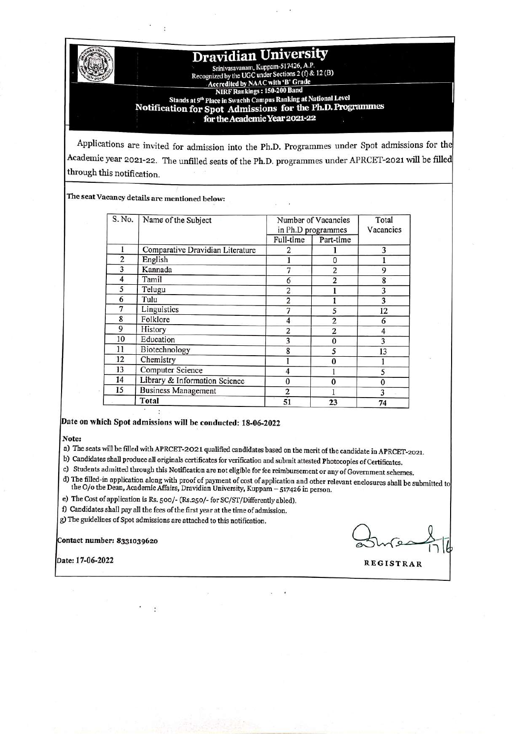# **Dravidian University**

Srinivasavanam, Kuppam-517426, A.P.<br>Recognized by the UGC under Sections 2 (f) & 12 (B)<br>Accredited by NAAC with 'B' Grade<br>NIRE Rankings : 150-200 Band Stands at 9th Place in Swachh Campus Ranking at National Level Notification for Spot Admissions for the Ph.D. Programmes for the Academic Year 2021-22

Applications are invited for admission into the Ph.D. Programmes under Spot admissions for the Academic year 2021-22. The unfilled seats of the Ph.D. programmes under APRCET-2021 will be filled through this notification.

The seat Vacancy details are mentioned below:

| S. No.                  | Name of the Subject              | Number of Vacancies<br>in Ph.D programmes |                | Total<br>Vacancies |
|-------------------------|----------------------------------|-------------------------------------------|----------------|--------------------|
|                         |                                  | Full-time                                 | Part-time      |                    |
|                         | Comparative Dravidian Literature | 2                                         |                | 3                  |
| $\overline{\mathbf{c}}$ | English                          |                                           | $\mathbf{0}$   |                    |
| 3                       | Kannada                          | $\overline{7}$                            | $\overline{2}$ | 9                  |
| 4                       | Tamil                            | 6                                         | $\overline{2}$ | 8                  |
| 5                       | Telugu                           | $\overline{2}$                            |                | 3                  |
| 6                       | Tulu                             | $\overline{c}$                            |                | 3                  |
| 7                       | Linguistics                      | 7                                         | 5              | 12                 |
| 8                       | Folklore                         | 4                                         | $\overline{c}$ | 6                  |
| 9                       | History                          | $\overline{2}$                            | 2              | 4                  |
| 10                      | Education                        | 3                                         | $\Omega$       | 3                  |
| 11                      | Biotechnology                    | 8                                         | 5              | 13                 |
| 12                      | Chemistry                        |                                           | 0              |                    |
| 13                      | Computer Science                 | 4                                         |                | 5                  |
| 14                      | Library & Information Science    | $\bf{0}$                                  | $\Omega$       | 0                  |
| 15                      | <b>Business Management</b>       | $\overline{2}$                            |                | 3                  |
|                         | Total                            | 51                                        | 23             | 74                 |

## Date on which Spot admissions will be conducted: 18-06-2022

Note:

a) The seats will be filled with APRCET-2021 qualified candidates based on the merit of the candidate in APRCET-2021.

b) Candidates shall produce all originals certificates for verification and submit attested Photocopies of Certificates.

c) Students admitted through this Notification are not eligible for fee reimbursement or any of Government schemes.

d) The filled-in application along with proof of payment of cost of application and other relevant enclosures shall be submitted to the  $O$ /0 the Dean, Academic Affairs, Dravidian University, Kuppam – 517426 in person.

e) The Cost of application is Rs. 500/- (Rs.250/- for SC/ST/Differently abled).

f) Candidates shall pay all the fees of the first year at the time of admission.

g) The guidelines of Spot admissions are attached to this notification.

Contact number: 8331039620

Date: 17-06-2022

**REGISTRAR**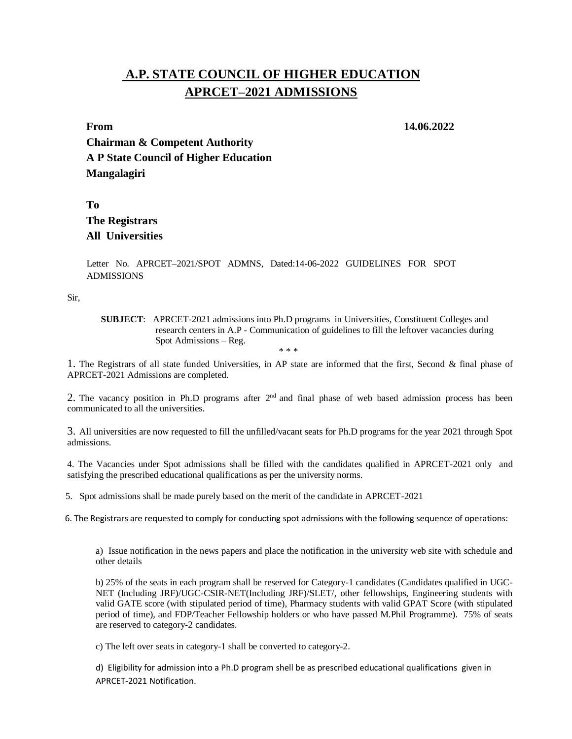# **A.P. STATE COUNCIL OF HIGHER EDUCATION APRCET–2021 ADMISSIONS**

**From 14.06.2022**

**Chairman & Competent Authority A P State Council of Higher Education Mangalagiri**

**To The Registrars All Universities**

Letter No. APRCET–2021/SPOT ADMNS, Dated:14-06-2022 GUIDELINES FOR SPOT ADMISSIONS

Sir,

**SUBJECT**: APRCET-2021 admissions into Ph.D programs in Universities, Constituent Colleges and research centers in A.P - Communication of guidelines to fill the leftover vacancies during Spot Admissions – Reg. \* \* \*

1. The Registrars of all state funded Universities, in AP state are informed that the first, Second & final phase of APRCET-2021 Admissions are completed.

2. The vacancy position in Ph.D programs after 2<sup>nd</sup> and final phase of web based admission process has been communicated to all the universities.

3. All universities are now requested to fill the unfilled/vacant seats for Ph.D programs for the year 2021 through Spot admissions.

4. The Vacancies under Spot admissions shall be filled with the candidates qualified in APRCET-2021 only and satisfying the prescribed educational qualifications as per the university norms.

5. Spot admissions shall be made purely based on the merit of the candidate in APRCET-2021

6. The Registrars are requested to comply for conducting spot admissions with the following sequence of operations:

a) Issue notification in the news papers and place the notification in the university web site with schedule and other details

b) 25% of the seats in each program shall be reserved for Category-1 candidates (Candidates qualified in UGC-NET (Including JRF)/UGC-CSIR-NET(Including JRF)/SLET/, other fellowships, Engineering students with valid GATE score (with stipulated period of time), Pharmacy students with valid GPAT Score (with stipulated period of time), and FDP/Teacher Fellowship holders or who have passed M.Phil Programme). 75% of seats are reserved to category-2 candidates.

c) The left over seats in category-1 shall be converted to category-2.

d) Eligibility for admission into a Ph.D program shell be as prescribed educational qualifications given in APRCET-2021 Notification.